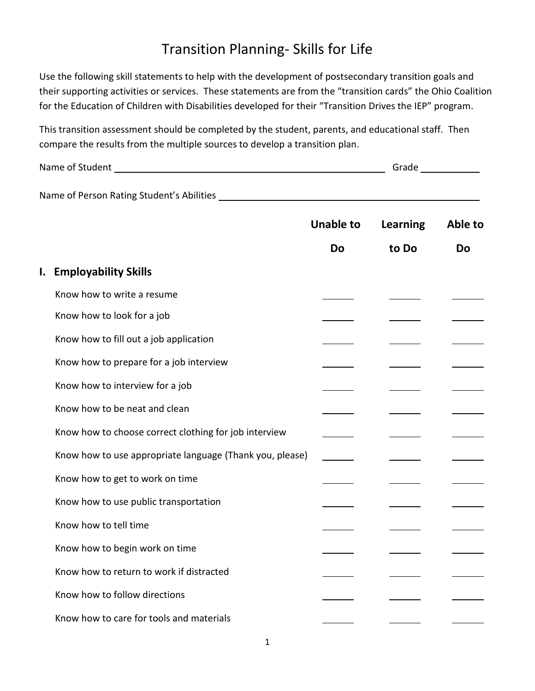## Transition Planning- Skills for Life

Use the following skill statements to help with the development of postsecondary transition goals and their supporting activities or services. These statements are from the "transition cards" the Ohio Coalition for the Education of Children with Disabilities developed for their "Transition Drives the IEP" program.

This transition assessment should be completed by the student, parents, and educational staff. Then compare the results from the multiple sources to develop a transition plan.

| Name of Student                           | Grade |
|-------------------------------------------|-------|
|                                           |       |
| Name of Person Rating Student's Abilities |       |

|    |                                                          | <b>Unable to</b> | <b>Learning</b> | Able to |
|----|----------------------------------------------------------|------------------|-----------------|---------|
|    |                                                          | Do               | to Do           | Do      |
| I. | <b>Employability Skills</b>                              |                  |                 |         |
|    | Know how to write a resume                               |                  |                 |         |
|    | Know how to look for a job                               |                  |                 |         |
|    | Know how to fill out a job application                   |                  |                 |         |
|    | Know how to prepare for a job interview                  |                  |                 |         |
|    | Know how to interview for a job                          |                  |                 |         |
|    | Know how to be neat and clean                            |                  |                 |         |
|    | Know how to choose correct clothing for job interview    |                  |                 |         |
|    | Know how to use appropriate language (Thank you, please) |                  |                 |         |
|    | Know how to get to work on time                          |                  |                 |         |
|    | Know how to use public transportation                    |                  |                 |         |
|    | Know how to tell time                                    |                  |                 |         |
|    | Know how to begin work on time                           |                  |                 |         |
|    | Know how to return to work if distracted                 |                  |                 |         |
|    | Know how to follow directions                            |                  |                 |         |
|    | Know how to care for tools and materials                 |                  |                 |         |
|    |                                                          |                  |                 |         |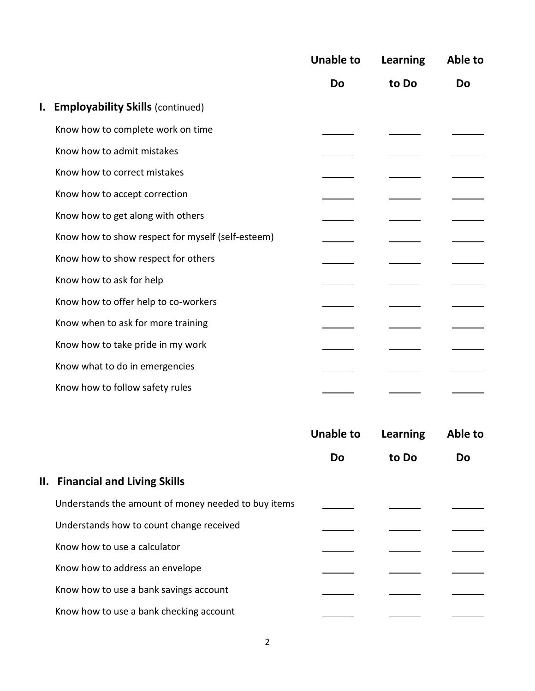|                                                   | <b>Unable to</b><br><b>Do</b> | <b>Learning</b><br>to Do | Able to<br><b>Do</b> |
|---------------------------------------------------|-------------------------------|--------------------------|----------------------|
|                                                   |                               |                          |                      |
| <b>I. Employability Skills (continued)</b>        |                               |                          |                      |
| Know how to complete work on time                 |                               |                          |                      |
| Know how to admit mistakes                        |                               |                          |                      |
| Know how to correct mistakes                      |                               |                          |                      |
| Know how to accept correction                     |                               |                          |                      |
| Know how to get along with others                 |                               |                          |                      |
| Know how to show respect for myself (self-esteem) |                               |                          |                      |
| Know how to show respect for others               |                               |                          |                      |
| Know how to ask for help                          |                               |                          |                      |
| Know how to offer help to co-workers              |                               |                          |                      |
| Know when to ask for more training                |                               |                          |                      |
| Know how to take pride in my work                 |                               |                          |                      |
| Know what to do in emergencies                    |                               |                          |                      |
| Know how to follow safety rules                   |                               |                          |                      |

|                                                     | <b>Unable to</b> | Learning | Able to   |
|-----------------------------------------------------|------------------|----------|-----------|
|                                                     | Do               | to Do    | <b>Do</b> |
| II. Financial and Living Skills                     |                  |          |           |
| Understands the amount of money needed to buy items |                  |          |           |
| Understands how to count change received            |                  |          |           |
| Know how to use a calculator                        |                  |          |           |
| Know how to address an envelope                     |                  |          |           |
| Know how to use a bank savings account              |                  |          |           |
| Know how to use a bank checking account             |                  |          |           |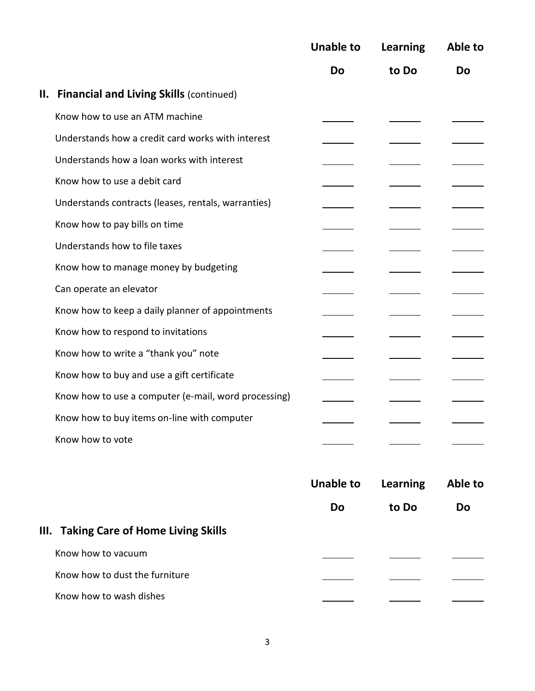|                                                      | <b>Unable to</b> | Learning | Able to |
|------------------------------------------------------|------------------|----------|---------|
|                                                      | Do               | to Do    | Do      |
| <b>II. Financial and Living Skills (continued)</b>   |                  |          |         |
| Know how to use an ATM machine                       |                  |          |         |
| Understands how a credit card works with interest    |                  |          |         |
| Understands how a loan works with interest           |                  |          |         |
| Know how to use a debit card                         |                  |          |         |
| Understands contracts (leases, rentals, warranties)  |                  |          |         |
| Know how to pay bills on time                        |                  |          |         |
| Understands how to file taxes                        |                  |          |         |
| Know how to manage money by budgeting                |                  |          |         |
| Can operate an elevator                              |                  |          |         |
| Know how to keep a daily planner of appointments     |                  |          |         |
| Know how to respond to invitations                   |                  |          |         |
| Know how to write a "thank you" note                 |                  |          |         |
| Know how to buy and use a gift certificate           |                  |          |         |
| Know how to use a computer (e-mail, word processing) |                  |          |         |
| Know how to buy items on-line with computer          |                  |          |         |
| Know how to vote                                     |                  |          |         |

|                                        | <b>Unable to</b> | <b>Learning</b> | Able to   |
|----------------------------------------|------------------|-----------------|-----------|
|                                        | Do               | to Do           | <b>Do</b> |
| III. Taking Care of Home Living Skills |                  |                 |           |
| Know how to vacuum                     |                  |                 |           |
| Know how to dust the furniture         |                  |                 |           |
| Know how to wash dishes                |                  |                 |           |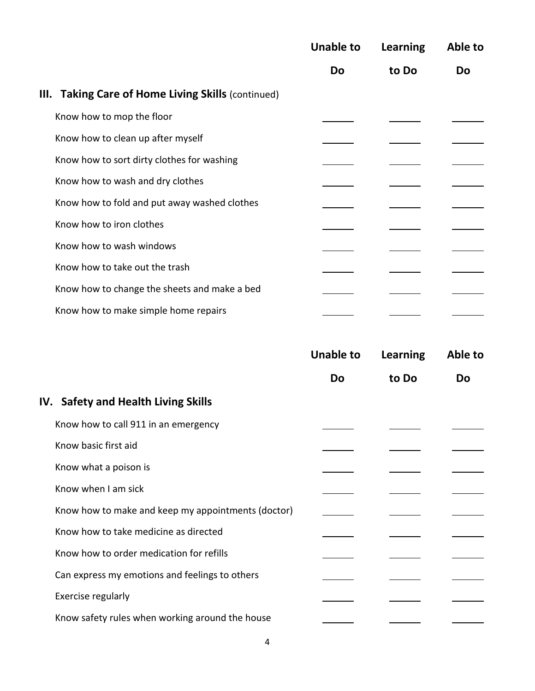|                                                           | <b>Unable to</b> | Learning | Able to   |
|-----------------------------------------------------------|------------------|----------|-----------|
|                                                           | <b>Do</b>        | to Do    | <b>Do</b> |
| <b>III. Taking Care of Home Living Skills (continued)</b> |                  |          |           |
| Know how to mop the floor                                 |                  |          |           |
| Know how to clean up after myself                         |                  |          |           |
| Know how to sort dirty clothes for washing                |                  |          |           |
| Know how to wash and dry clothes                          |                  |          |           |
| Know how to fold and put away washed clothes              |                  |          |           |
| Know how to iron clothes                                  |                  |          |           |
| Know how to wash windows                                  |                  |          |           |
| Know how to take out the trash                            |                  |          |           |
| Know how to change the sheets and make a bed              |                  |          |           |
| Know how to make simple home repairs                      |                  |          |           |

|                                                    | <b>Unable to</b> | <b>Learning</b> | Able to   |
|----------------------------------------------------|------------------|-----------------|-----------|
|                                                    | <b>Do</b>        | to Do           | <b>Do</b> |
| IV. Safety and Health Living Skills                |                  |                 |           |
| Know how to call 911 in an emergency               |                  |                 |           |
| Know basic first aid                               |                  |                 |           |
| Know what a poison is                              |                  |                 |           |
| Know when I am sick                                |                  |                 |           |
| Know how to make and keep my appointments (doctor) |                  |                 |           |
| Know how to take medicine as directed              |                  |                 |           |
| Know how to order medication for refills           |                  |                 |           |
| Can express my emotions and feelings to others     |                  |                 |           |
| Exercise regularly                                 |                  |                 |           |
| Know safety rules when working around the house    |                  |                 |           |
|                                                    |                  |                 |           |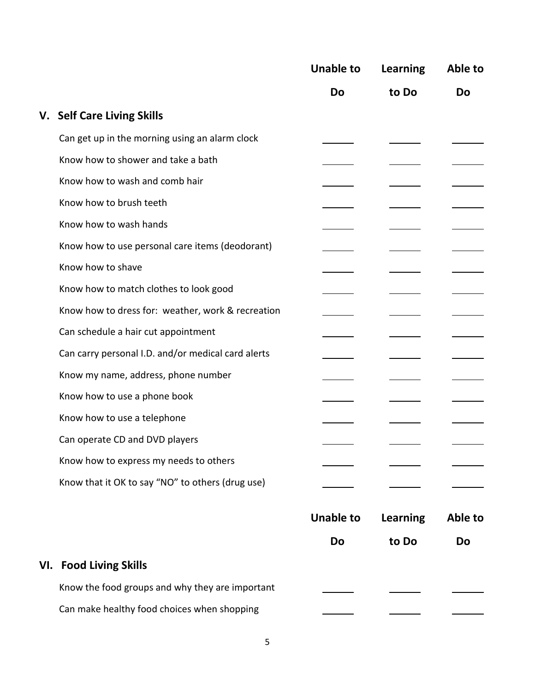|                                                    | <b>Unable to</b> | Learning        | Able to |
|----------------------------------------------------|------------------|-----------------|---------|
|                                                    | <b>Do</b>        | to Do           | Do      |
| V. Self Care Living Skills                         |                  |                 |         |
| Can get up in the morning using an alarm clock     |                  |                 |         |
| Know how to shower and take a bath                 |                  |                 |         |
| Know how to wash and comb hair                     |                  |                 |         |
| Know how to brush teeth                            |                  |                 |         |
| Know how to wash hands                             |                  |                 |         |
| Know how to use personal care items (deodorant)    |                  |                 |         |
| Know how to shave                                  |                  |                 |         |
| Know how to match clothes to look good             |                  |                 |         |
| Know how to dress for: weather, work & recreation  |                  |                 |         |
| Can schedule a hair cut appointment                |                  |                 |         |
| Can carry personal I.D. and/or medical card alerts |                  |                 |         |
| Know my name, address, phone number                |                  |                 |         |
| Know how to use a phone book                       |                  |                 |         |
| Know how to use a telephone                        |                  |                 |         |
| Can operate CD and DVD players                     |                  |                 |         |
| Know how to express my needs to others             |                  |                 |         |
| Know that it OK to say "NO" to others (drug use)   |                  |                 |         |
|                                                    | <b>Unable to</b> | <b>Learning</b> | Able to |
|                                                    | Do               | to Do           | Do      |
| <b>VI. Food Living Skills</b>                      |                  |                 |         |
| Know the food groups and why they are important    |                  |                 |         |
| Can make healthy food choices when shopping        |                  |                 |         |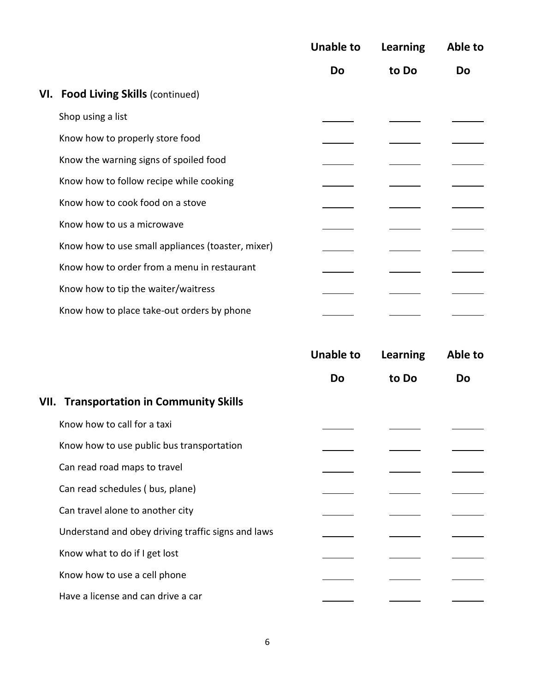|                                                   | <b>Unable to</b> | Learning | Able to |
|---------------------------------------------------|------------------|----------|---------|
|                                                   | <b>Do</b>        | to Do    | Do      |
| VI. Food Living Skills (continued)                |                  |          |         |
| Shop using a list                                 |                  |          |         |
| Know how to properly store food                   |                  |          |         |
| Know the warning signs of spoiled food            |                  |          |         |
| Know how to follow recipe while cooking           |                  |          |         |
| Know how to cook food on a stove                  |                  |          |         |
| Know how to us a microwave                        |                  |          |         |
| Know how to use small appliances (toaster, mixer) |                  |          |         |
| Know how to order from a menu in restaurant       |                  |          |         |
| Know how to tip the waiter/waitress               |                  |          |         |
| Know how to place take-out orders by phone        |                  |          |         |

|                                                    | <b>Unable to</b> | Learning | Able to |
|----------------------------------------------------|------------------|----------|---------|
|                                                    | <b>Do</b>        | to Do    | Do      |
| <b>VII. Transportation in Community Skills</b>     |                  |          |         |
| Know how to call for a taxi                        |                  |          |         |
| Know how to use public bus transportation          |                  |          |         |
| Can read road maps to travel                       |                  |          |         |
| Can read schedules (bus, plane)                    |                  |          |         |
| Can travel alone to another city                   |                  |          |         |
| Understand and obey driving traffic signs and laws |                  |          |         |
| Know what to do if I get lost                      |                  |          |         |
| Know how to use a cell phone                       |                  |          |         |
| Have a license and can drive a car                 |                  |          |         |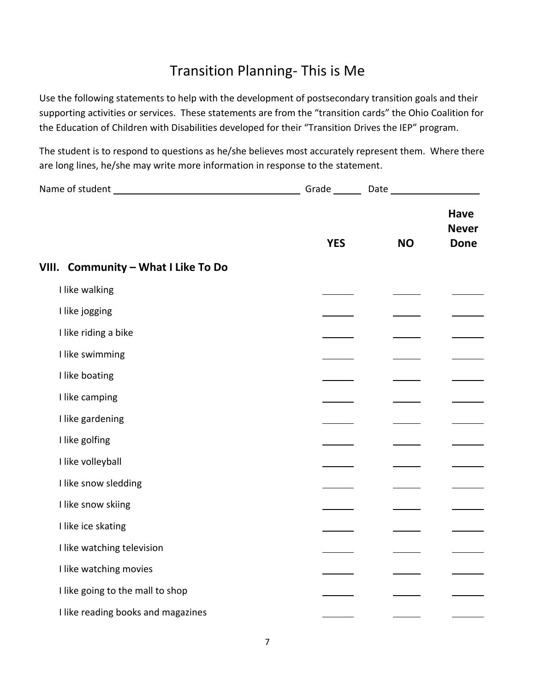## Transition Planning- This is Me

Use the following statements to help with the development of postsecondary transition goals and their supporting activities or services. These statements are from the "transition cards" the Ohio Coalition for the Education of Children with Disabilities developed for their "Transition Drives the IEP" program.

The student is to respond to questions as he/she believes most accurately represent them. Where there are long lines, he/she may write more information in response to the statement.

|                                     | Grade ______ |           |                                            |
|-------------------------------------|--------------|-----------|--------------------------------------------|
|                                     | <b>YES</b>   | <b>NO</b> | <b>Have</b><br><b>Never</b><br><b>Done</b> |
| VIII. Community - What I Like To Do |              |           |                                            |
| I like walking                      |              |           |                                            |
| I like jogging                      |              |           |                                            |
| I like riding a bike                |              |           |                                            |
| I like swimming                     |              |           |                                            |
| I like boating                      |              |           |                                            |
| I like camping                      |              |           |                                            |
| I like gardening                    |              |           |                                            |
| I like golfing                      |              |           |                                            |
| I like volleyball                   |              |           |                                            |
| I like snow sledding                |              |           |                                            |
| I like snow skiing                  |              |           |                                            |
| I like ice skating                  |              |           |                                            |
| I like watching television          |              |           |                                            |
| I like watching movies              |              |           |                                            |
| I like going to the mall to shop    |              |           |                                            |
| I like reading books and magazines  |              |           |                                            |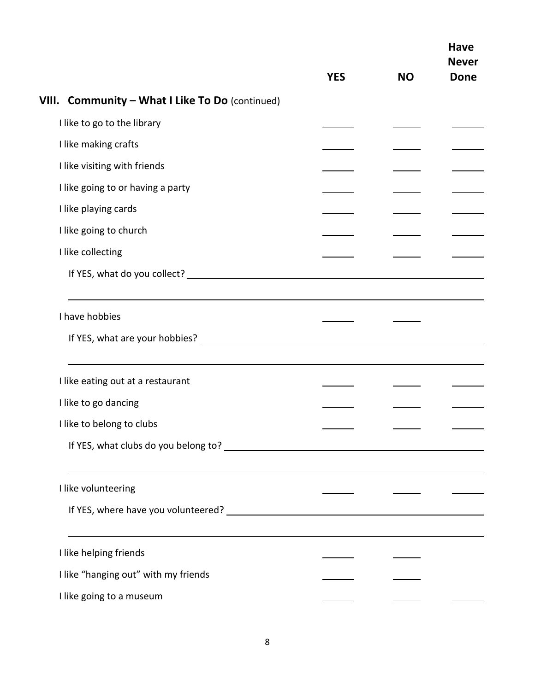|                                                 | <b>YES</b> | <b>NO</b> | <b>Have</b><br><b>Never</b><br><b>Done</b> |
|-------------------------------------------------|------------|-----------|--------------------------------------------|
| VIII. Community - What I Like To Do (continued) |            |           |                                            |
| I like to go to the library                     |            |           |                                            |
| I like making crafts                            |            |           |                                            |
| I like visiting with friends                    |            |           |                                            |
| I like going to or having a party               |            |           |                                            |
| I like playing cards                            |            |           |                                            |
| I like going to church                          |            |           |                                            |
| I like collecting                               |            |           |                                            |
|                                                 |            |           |                                            |
| I have hobbies                                  |            |           |                                            |
| I like eating out at a restaurant               |            |           |                                            |
| I like to go dancing                            |            |           |                                            |
| I like to belong to clubs                       |            |           |                                            |
| I like volunteering                             |            |           |                                            |
|                                                 |            |           |                                            |
| I like helping friends                          |            |           |                                            |
| I like "hanging out" with my friends            |            |           |                                            |
| I like going to a museum                        |            |           |                                            |